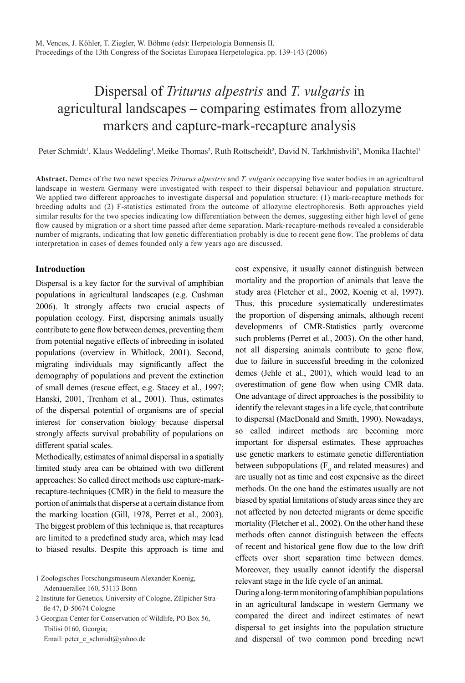# Dispersal of *Triturus alpestris* and *T. vulgaris* in agricultural landscapes – comparing estimates from allozyme markers and capture-mark-recapture analysis

Peter Schmidt<sup>1</sup>, Klaus Weddeling<sup>1</sup>, Meike Thomas<sup>2</sup>, Ruth Rottscheidt<sup>2</sup>, David N. Tarkhnishvili<sup>3</sup>, Monika Hachtel<sup>1</sup>

Abstract. Demes of the two newt species *Triturus alpestris* and *T. vulgaris* occupying five water bodies in an agricultural landscape in western Germany were investigated with respect to their dispersal behaviour and population structure. We applied two different approaches to investigate dispersal and population structure: (1) mark-recapture methods for breeding adults and (2) F-statistics estimated from the outcome of allozyme electrophoresis. Both approaches yield similar results for the two species indicating low differentiation between the demes, suggesting either high level of gene flow caused by migration or a short time passed after deme separation. Mark-recapture-methods revealed a considerable number of migrants, indicating that low genetic differentiation probably is due to recent gene flow. The problems of data interpretation in cases of demes founded only a few years ago are discussed.

# **Introduction**

Dispersal is a key factor for the survival of amphibian populations in agricultural landscapes (e.g. Cushman 2006). It strongly affects two crucial aspects of population ecology. First, dispersing animals usually contribute to gene flow between demes, preventing them from potential negative effects of inbreeding in isolated populations (overview in Whitlock, 2001). Second, migrating individuals may significantly affect the demography of populations and prevent the extinction of small demes (rescue effect, e.g. Stacey et al., 1997; Hanski, 2001, Trenham et al., 2001). Thus, estimates of the dispersal potential of organisms are of special interest for conservation biology because dispersal strongly affects survival probability of populations on different spatial scales.

Methodically, estimates of animal dispersal in a spatially limited study area can be obtained with two different approaches: So called direct methods use capture-markrecapture-techniques (CMR) in the field to measure the portion of animals that disperse at a certain distance from the marking location (Gill, 1978, Perret et al., 2003). The biggest problem of this technique is, that recaptures are limited to a predefined study area, which may lead to biased results. Despite this approach is time and

1 Zoologisches Forschungsmuseum Alexander Koenig, Adenauerallee 160, 53113 Bonn

3 Georgian Center for Conservation of Wildlife, PO Box 56, Tbilisi 0160, Georgia;

Email: peter\_e\_schmidt@yahoo.de

cost expensive, it usually cannot distinguish between mortality and the proportion of animals that leave the study area (Fletcher et al., 2002, Koenig et al, 1997). Thus, this procedure systematically underestimates the proportion of dispersing animals, although recent developments of CMR-Statistics partly overcome such problems (Perret et al., 2003). On the other hand, not all dispersing animals contribute to gene flow, due to failure in successful breeding in the colonized demes (Jehle et al., 2001), which would lead to an overestimation of gene flow when using CMR data. One advantage of direct approaches is the possibility to identify the relevant stages in a life cycle, that contribute to dispersal (MacDonald and Smith, 1990). Nowadays, so called indirect methods are becoming more important for dispersal estimates. These approaches use genetic markers to estimate genetic differentiation between subpopulations ( $F<sub>st</sub>$  and related measures) and are usually not as time and cost expensive as the direct methods. On the one hand the estimates usually are not biased by spatial limitations of study areas since they are not affected by non detected migrants or deme specific mortality (Fletcher et al., 2002). On the other hand these methods often cannot distinguish between the effects of recent and historical gene flow due to the low drift effects over short separation time between demes. Moreover, they usually cannot identify the dispersal relevant stage in the life cycle of an animal.

During a long-term monitoring of amphibian populations in an agricultural landscape in western Germany we compared the direct and indirect estimates of newt dispersal to get insights into the population structure and dispersal of two common pond breeding newt

<sup>2</sup> Institute for Genetics, University of Cologne, Zülpicher Straße 47, D-50674 Cologne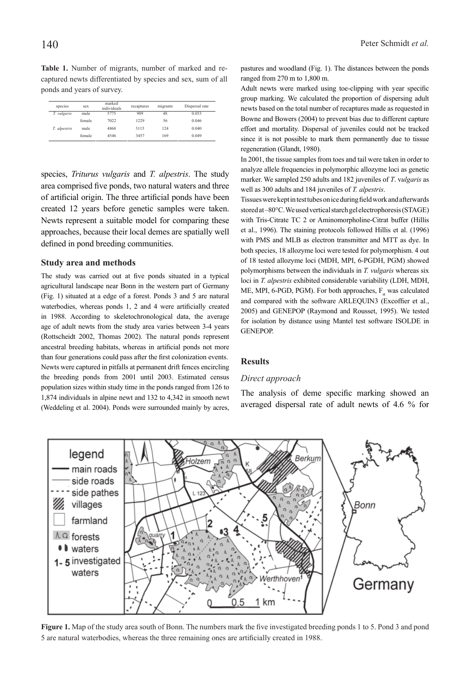**Table 1.** Number of migrants, number of marked and recaptured newts differentiated by species and sex, sum of all ponds and years of survey.

| species      | sex    | marked<br>individuals | recaptures | migrants | Dispersal rate |
|--------------|--------|-----------------------|------------|----------|----------------|
| T. vulgaris  | male   | 5775                  | 909        | 48       | 0.053          |
|              | female | 7022                  | 1229       | 56       | 0.046          |
| T. alpestris | male   | 4868                  | 3115       | 124      | 0.040          |
|              | female | 4546                  | 3457       | 169      | 0.049          |

species, *Triturus vulgaris* and *T. alpestris*. The study area comprised five ponds, two natural waters and three of artificial origin. The three artificial ponds have been created 12 years before genetic samples were taken. Newts represent a suitable model for comparing these approaches, because their local demes are spatially well defined in pond breeding communities.

# **Study area and methods**

The study was carried out at five ponds situated in a typical agricultural landscape near Bonn in the western part of Germany (Fig. 1) situated at a edge of a forest. Ponds 3 and 5 are natural waterbodies, whereas ponds 1, 2 and 4 were artificially created in 1988. According to skeletochronological data, the average age of adult newts from the study area varies between 3-4 years (Rottscheidt 2002, Thomas 2002). The natural ponds represent ancestral breeding habitats, whereas in artificial ponds not more than four generations could pass after the first colonization events. Newts were captured in pitfalls at permanent drift fences encircling the breeding ponds from 2001 until 2003. Estimated census population sizes within study time in the ponds ranged from 126 to 1,874 individuals in alpine newt and 132 to 4,342 in smooth newt (Weddeling et al. 2004). Ponds were surrounded mainly by acres,

pastures and woodland (Fig. 1). The distances between the ponds ranged from 270 m to 1,800 m.

Adult newts were marked using toe-clipping with year specific group marking. We calculated the proportion of dispersing adult newts based on the total number of recaptures made as requested in Bowne and Bowers (2004) to prevent bias due to different capture effort and mortality. Dispersal of juveniles could not be tracked since it is not possible to mark them permanently due to tissue regeneration (Glandt, 1980).

In 2001, the tissue samples from toes and tail were taken in order to analyze allele frequencies in polymorphic allozyme loci as genetic marker. We sampled 250 adults and 182 juveniles of *T*. v*ulgaris* as well as 300 adults and 184 juveniles of *T. alpestris*.

Tissues were kept in test tubes on ice during field work and afterwards stored at –80°C. We used vertical starch gel electrophoresis (STAGE) with Tris-Citrate TC 2 or Aminomorpholine-Citrat buffer (Hillis et al., 1996). The staining protocols followed Hillis et al. (1996) with PMS and MLB as electron transmitter and MTT as dye. In both species, 18 allozyme loci were tested for polymorphism. 4 out of 18 tested allozyme loci (MDH, MPI, 6-PGDH, PGM) showed polymorphisms between the individuals in *T. vulgaris* whereas six loci in *T. alpestris* exhibited considerable variability (LDH, MDH, ME, MPI, 6-PGD, PGM). For both approaches,  $F_a$  was calculated and compared with the software ARLEQUIN3 (Excoffier et al., 2005) and GENEPOP (Raymond and Rousset, 1995). We tested for isolation by distance using Mantel test software ISOLDE in **GENEPOP** 

## **Results**

#### *Direct approach*

The analysis of deme specific marking showed an averaged dispersal rate of adult newts of 4.6 % for



Figure 1. Map of the study area south of Bonn. The numbers mark the five investigated breeding ponds 1 to 5. Pond 3 and pond 5 are natural waterbodies, whereas the three remaining ones are artificially created in 1988.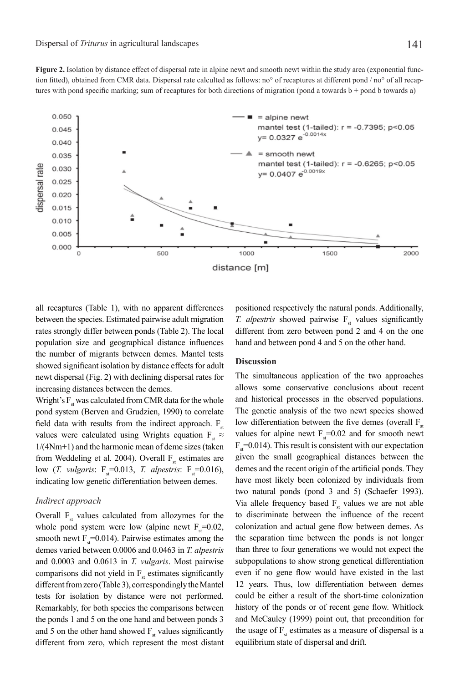**Figure 2.** Isolation by distance effect of dispersal rate in alpine newt and smooth newt within the study area (exponential function fitted), obtained from CMR data. Dispersal rate calculted as follows: no° of recaptures at different pond / no° of all recaptures with pond specific marking; sum of recaptures for both directions of migration (pond a towards  $b +$  pond b towards a)



all recaptures (Table 1), with no apparent differences between the species. Estimated pairwise adult migration rates strongly differ between ponds (Table 2). The local population size and geographical distance influences the number of migrants between demes. Mantel tests showed significant isolation by distance effects for adult newt dispersal (Fig. 2) with declining dispersal rates for increasing distances between the demes.

Wright's  $F_{st}$  was calculated from CMR data for the whole pond system (Berven and Grudzien, 1990) to correlate field data with results from the indirect approach.  $F_{st}$ values were calculated using Wrights equation  $F_{st} \approx$ 1/(4Nm+1) and the harmonic mean of deme sizes (taken from Weddeling et al. 2004). Overall  $F_{st}$  estimates are low (*T. vulgaris*:  $F_s=0.013$ , *T. alpestris*:  $F_s=0.016$ ), indicating low genetic differentiation between demes.

# *Indirect approach*

Overall  $F_{st}$  values calculated from allozymes for the whole pond system were low (alpine newt  $F_s=0.02$ , smooth newt  $F_s$ =0.014). Pairwise estimates among the demes varied between 0.0006 and 0.0463 in *T. alpestris* and 0.0003 and 0.0613 in *T. vulgaris*. Most pairwise comparisons did not yield in  $F_{st}$  estimates significantly different from zero (Table 3), correspondingly the Mantel tests for isolation by distance were not performed. Remarkably, for both species the comparisons between the ponds 1 and 5 on the one hand and between ponds 3 and 5 on the other hand showed  $F<sub>st</sub>$  values significantly different from zero, which represent the most distant

positioned respectively the natural ponds. Additionally, *T. alpestris* showed pairwise F<sub>st</sub> values significantly different from zero between pond 2 and 4 on the one hand and between pond 4 and 5 on the other hand.

## **Discussion**

The simultaneous application of the two approaches allows some conservative conclusions about recent and historical processes in the observed populations. The genetic analysis of the two newt species showed low differentiation between the five demes (overall  $F_{st}$ values for alpine newt  $F_s$ =0.02 and for smooth newt  $F_s$ =0.014). This result is consistent with our expectation given the small geographical distances between the demes and the recent origin of the artificial ponds. They have most likely been colonized by individuals from two natural ponds (pond 3 and 5) (Schaefer 1993). Via allele frequency based  $F<sub>st</sub>$  values we are not able to discriminate between the influence of the recent colonization and actual gene flow between demes. As the separation time between the ponds is not longer than three to four generations we would not expect the subpopulations to show strong genetical differentiation even if no gene flow would have existed in the last 12 years. Thus, low differentiation between demes could be either a result of the short-time colonization history of the ponds or of recent gene flow. Whitlock and McCauley (1999) point out, that precondition for the usage of  $F_{st}$  estimates as a measure of dispersal is a equilibrium state of dispersal and drift.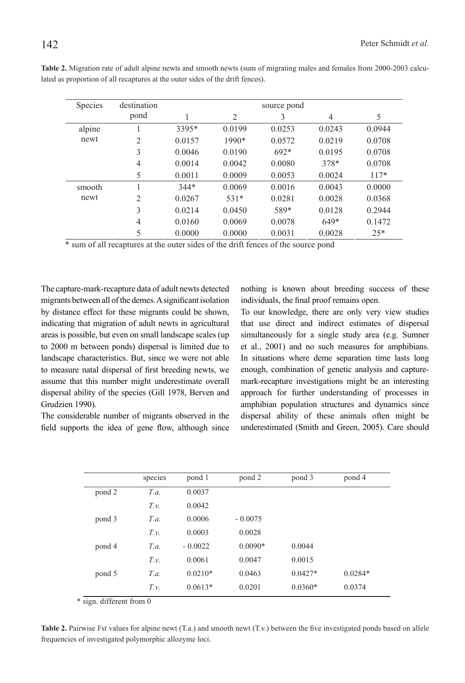| <b>Species</b> | destination    |        |        | source pond |                |        |
|----------------|----------------|--------|--------|-------------|----------------|--------|
|                | pond           |        | 2      | 3           | $\overline{4}$ | 5      |
| alpine         |                | 3395*  | 0.0199 | 0.0253      | 0.0243         | 0.0944 |
| newt           | $\overline{c}$ | 0.0157 | 1990*  | 0.0572      | 0.0219         | 0.0708 |
|                | 3              | 0.0046 | 0.0190 | $692*$      | 0.0195         | 0.0708 |
|                | 4              | 0.0014 | 0.0042 | 0.0080      | 378*           | 0.0708 |
|                | 5              | 0.0011 | 0.0009 | 0.0053      | 0.0024         | $117*$ |
| smooth         |                | $344*$ | 0.0069 | 0.0016      | 0.0043         | 0.0000 |
| newt           | $\overline{2}$ | 0.0267 | $531*$ | 0.0281      | 0.0028         | 0.0368 |
|                | 3              | 0.0214 | 0.0450 | 589*        | 0.0128         | 0.2944 |
|                | $\overline{4}$ | 0.0160 | 0.0069 | 0.0078      | 649*           | 0.1472 |
|                | 5              | 0.0000 | 0.0000 | 0.0031      | 0.0028         | $25*$  |

**Table 2.** Migration rate of adult alpine newts and smooth newts (sum of migrating males and females from 2000-2003 calculated as proportion of all recaptures at the outer sides of the drift fences).

\* sum of all recaptures at the outer sides of the drift fences of the source pond

The capture-mark-recapture data of adult newts detected migrants between all of the demes. A significant isolation by distance effect for these migrants could be shown, indicating that migration of adult newts in agricultural areas is possible, but even on small landscape scales (up to 2000 m between ponds) dispersal is limited due to landscape characteristics. But, since we were not able to measure natal dispersal of first breeding newts, we assume that this number might underestimate overall dispersal ability of the species (Gill 1978, Berven and Grudzien 1990).

The considerable number of migrants observed in the field supports the idea of gene flow, although since nothing is known about breeding success of these individuals, the final proof remains open.

To our knowledge, there are only very view studies that use direct and indirect estimates of dispersal simultaneously for a single study area (e.g. Sumner et al., 2001) and no such measures for amphibians. In situations where deme separation time lasts long enough, combination of genetic analysis and capturemark-recapture investigations might be an interesting approach for further understanding of processes in amphibian population structures and dynamics since dispersal ability of these animals often might be underestimated (Smith and Green, 2005). Care should

|        | species              | pond 1    | pond 2    | pond 3    | pond 4    |
|--------|----------------------|-----------|-----------|-----------|-----------|
| pond 2 | T.a.                 | 0.0037    |           |           |           |
|        | $T_{\cdot}v_{\cdot}$ | 0.0042    |           |           |           |
| pond 3 | T.a.                 | 0.0006    | $-0.0075$ |           |           |
|        | $T_{\cdot}v_{\cdot}$ | 0.0003    | 0.0028    |           |           |
| pond 4 | T.a.                 | $-0.0022$ | $0.0090*$ | 0.0044    |           |
|        | $T_{\cdot}v_{\cdot}$ | 0.0061    | 0.0047    | 0.0015    |           |
| pond 5 | T.a.                 | $0.0210*$ | 0.0463    | $0.0427*$ | $0.0284*$ |
|        | $T_{\cdot}v_{\cdot}$ | $0.0613*$ | 0.0201    | $0.0360*$ | 0.0374    |

\* sign. different from 0

**Table 2.** Pairwise Fst values for alpine newt (T.a.) and smooth newt (T.v.) between the five investigated ponds based on allele frequencies of investigated polymorphic allozyme loci.